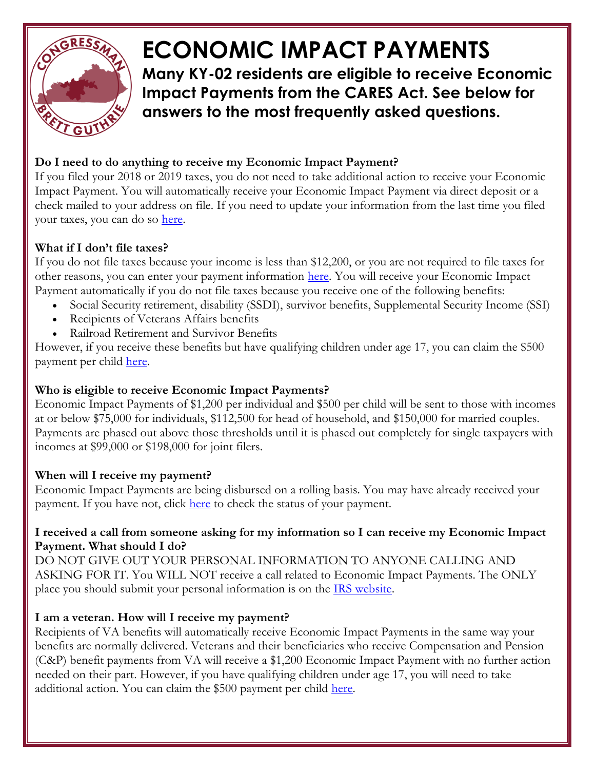

# **ECONOMIC IMPACT PAYMENTS**

**Many KY-02 residents are eligible to receive Economic Impact Payments from the CARES Act. See below for answers to the most frequently asked questions.** 

# **Do I need to do anything to receive my Economic Impact Payment?**

If you filed your 2018 or 2019 taxes, you do not need to take additional action to receive your Economic Impact Payment. You will automatically receive your Economic Impact Payment via direct deposit or a check mailed to your address on file. If you need to update your information from the last time you filed your taxes, you can do so [here.](https://www.irs.gov/coronavirus/get-my-payment)

### **What if I don't file taxes?**

If you do not file taxes because your income is less than \$12,200, or you are not required to file taxes for other reasons, you can enter your payment information [here.](https://www.irs.gov/coronavirus/non-filers-enter-payment-info-here) You will receive your Economic Impact Payment automatically if you do not file taxes because you receive one of the following benefits:

- Social Security retirement, disability (SSDI), survivor benefits, Supplemental Security Income (SSI)
- Recipients of Veterans Affairs benefits
- Railroad Retirement and Survivor Benefits

However, if you receive these benefits but have qualifying children under age 17, you can claim the \$500 payment per child [here.](https://www.irs.gov/coronavirus/non-filers-enter-payment-info-here)

## **Who is eligible to receive Economic Impact Payments?**

Economic Impact Payments of \$1,200 per individual and \$500 per child will be sent to those with incomes at or below \$75,000 for individuals, \$112,500 for head of household, and \$150,000 for married couples. Payments are phased out above those thresholds until it is phased out completely for single taxpayers with incomes at \$99,000 or \$198,000 for joint filers.

#### **When will I receive my payment?**

Economic Impact Payments are being disbursed on a rolling basis. You may have already received your payment. If you have not, click [here](https://www.irs.gov/coronavirus/get-my-payment) to check the status of your payment.

#### **I received a call from someone asking for my information so I can receive my Economic Impact Payment. What should I do?**

DO NOT GIVE OUT YOUR PERSONAL INFORMATION TO ANYONE CALLING AND ASKING FOR IT. You WILL NOT receive a call related to Economic Impact Payments. The ONLY place you should submit your personal information is on the [IRS website.](https://www.irs.gov/coronavirus/economic-impact-payments?fbclid=IwAR2y7vozzLiOpwmg3I-KDZECZ8EL1XLSqDf3HCvvHRrUK-8RGeyWQAyo5L8)

#### **I am a veteran. How will I receive my payment?**

Recipients of VA benefits will automatically receive Economic Impact Payments in the same way your benefits are normally delivered. Veterans and their beneficiaries who receive Compensation and Pension (C&P) benefit payments from VA will receive a \$1,200 Economic Impact Payment with no further action needed on their part. However, if you have qualifying children under age 17, you will need to take additional action. You can claim the \$500 payment per child [here.](https://www.irs.gov/coronavirus/non-filers-enter-payment-info-here)